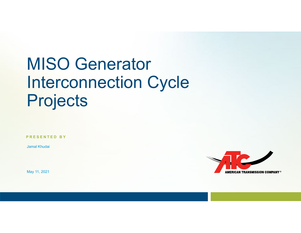# MISO Generator Interconnection Cycle **Projects**

**PRESENTED BY**

Jamal Khudai

May 11, 2021

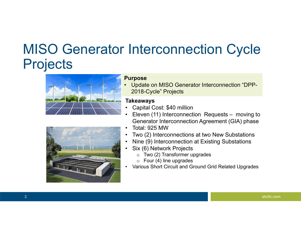### MISO Generator Interconnection Cycle **Projects**





#### **Purpose**

• Update on MISO Generator Interconnection "DPP-2018-Cycle" Projects

#### **Takeaways**

- •Capital Cost: \$40 million
- • Eleven (11) Interconnection Requests – moving to Generator Interconnection Agreement (GIA) phase
- •Total: 925 MW
- •Two (2) Interconnections at two New Substations
- •Nine (9) Interconnection at Existing Substations
- • Six (6) Network Projects
	- $\circ~$  Two (2) Transformer upgrades
	- $\circ~$  Four (4) line upgrades
- •Various Short Circuit and Ground Grid Related Upgrades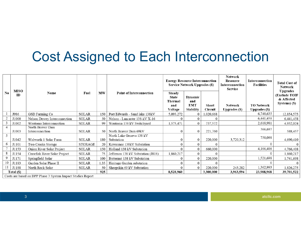### Cost Assigned to Each Interconnection

|                                                             | <b>MISO</b><br>ID | Name                                | Fuel           | <b>MW</b> | <b>Point of Interconnection</b>        | <b>Energy Resource Interconnection</b><br><b>Service Network Upgrades (\$)</b> |                                                         |                         | <b>Network</b><br>Resource<br>Interconnection<br>Service | Interconnection<br><b>Facilities</b> | <b>Total Cost of</b><br>Network                          |
|-------------------------------------------------------------|-------------------|-------------------------------------|----------------|-----------|----------------------------------------|--------------------------------------------------------------------------------|---------------------------------------------------------|-------------------------|----------------------------------------------------------|--------------------------------------|----------------------------------------------------------|
| No.                                                         |                   |                                     |                |           |                                        | Steady<br><b>State</b><br>Thermal<br>and<br>Voltage                            | <b>Dynamic</b><br>and<br><b>EMT</b><br><b>Stability</b> | <b>Short</b><br>Circuit | Network<br><b>Upgrades</b> (\$)                          | <b>TO Network</b><br>Upgrades (\$)   | Upgrades<br>(Exclude TOIF<br>& Affected<br>Systems) (\$) |
|                                                             | J986              | GSD Farming Co                      | <b>SOLAR</b>   | 150       | Port Edwards - Sand lake 138kV         | 5,093,272                                                                      | 0                                                       | 1,020,668               |                                                          | 6,740,635                            | 12,854,575                                               |
|                                                             | J1000             | Nelson Dewey Interconnection        | <b>SOLAR</b>   | 50        | Nelson - Lancaster 138-kV X-16         |                                                                                |                                                         |                         |                                                          | 6,441,458                            | 6,441,458                                                |
|                                                             | J1002             | Wautoma Interconnection             | SOLAR          | 99        | Wautoma 138 kV Switchyard              | 1,575,471                                                                      | $\Omega$                                                | 737,572                 |                                                          | 2,618,981                            | 4,932,024                                                |
| $\overline{4}$                                              | J1003             | North Beaver Dam<br>Interconnection | SOLAR          | 50        | North Beaver Dam 69kV                  | 0                                                                              | 0                                                       | 221,760                 |                                                          | 366,697                              | 588,457                                                  |
| 5                                                           | J1042             | Walworth 1 Solar Farm               | <b>SOLAR</b>   | 180       | North Lake Geneva 138 kV<br>Substation | 0                                                                              | 0                                                       | 220,000                 | 3,720,312                                                | 750,098                              | 4,690,410                                                |
|                                                             | J1101             | Two Creeks Storage                  | <b>STORAGE</b> | 20        | Kewaunee 138kV Substation              | 0                                                                              | 0                                                       | $\Omega$                |                                                          | 0                                    | $\overline{0}$                                           |
|                                                             | J1153             | Onion River Solar Project           | <b>SOLAR</b>   | 150       | Holland 138 kV Substation              |                                                                                | 0                                                       | 660,000                 |                                                          | 4,106,408                            | 4,766,408                                                |
|                                                             | J1154             | Crawfish River Solar Project        | <b>SOLAR</b>   | 75        | Jefferson 138 kV Substation (J818)     | 1,860,217                                                                      | $\Omega$                                                |                         |                                                          | $\Omega$                             | 1,860,217                                                |
|                                                             | J1171             | Springfield Solar                   | <b>SOLAR</b>   | 100       | Butternut 138 kV Substation            | O                                                                              | 0                                                       | 220,000                 |                                                          | 1,521,698                            | 1,741,698                                                |
| 10                                                          | J1183             | Garden Solar Phase II               | <b>SOLAR</b>   | 1.35      | Heritage Garden substation             | 0                                                                              | $\Omega$                                                | $\Omega$                |                                                          |                                      | $\overline{0}$                                           |
|                                                             | J1188             | North Rock Solar                    | <b>SOLAR</b>   | 50        | Sheepskin 69 kV Substation             |                                                                                | $\Omega$                                                | 220,000                 | 243,282                                                  | 1,362,993                            | 1,826,275                                                |
| Total (\$)                                                  |                   |                                     |                | 925       |                                        | 8,528,960                                                                      |                                                         | 3,300,000               | 3,963,594                                                | 23,908,968                           | 39,701,522                                               |
| Costs are based on DPP Phase 3 System Impact Studies Report |                   |                                     |                |           |                                        |                                                                                |                                                         |                         |                                                          |                                      |                                                          |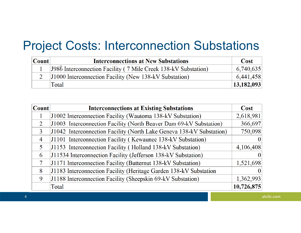#### Project Costs: Interconnection Substations

| Count | <b>Interconnections at New Substations</b>                       | <b>Cost</b> |
|-------|------------------------------------------------------------------|-------------|
|       | [J986] Interconnection Facility (7 Mile Creek 138-kV Substation) | 6,740,635   |
|       | [J1000 Interconnection Facility (New 138-kV Substation)          | 6,441,458   |
|       | Total                                                            | 13,182,093  |

| <b>Count</b> | <b>Interconnections at Existing Substations</b>                      | <b>Cost</b> |
|--------------|----------------------------------------------------------------------|-------------|
|              | J1002 Interconnection Facility (Wautoma 138-kV Substation)           | 2,618,981   |
| 2            | J1003 Interconnection Facility (North Beaver Dam 69-kV Substation)   | 366,697     |
| 3            | J1042 Interconnection Facility (North Lake Geneva 138-kV Substation) | 750,098     |
| 4            | J1101 Interconnection Facility (Kewaunee 138-kV Substation)          |             |
| 5            | J1153 Interconnection Facility (Holland 138-kV Substation)           | 4,106,408   |
| 6            | J11534 Interconnection Facility (Jefferson 138-kV Substation)        |             |
| 7            | J1171 Interconnection Facility (Butternut 138-kV Substation)         | 1,521,698   |
| 8            | J1183 Interconnection Facility (Heritage Garden 138-kV Substation    |             |
| 9            | J1188 Interconnection Facility (Sheepskin 69-kV Substation)          | 1,362,993   |
|              | Total                                                                | 10,726,875  |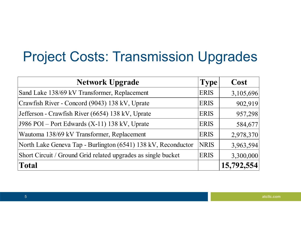# Project Costs: Transmission Upgrades

| <b>Network Upgrade</b>                                        | Type <sup>'</sup> | Cost       |
|---------------------------------------------------------------|-------------------|------------|
| Sand Lake 138/69 kV Transformer, Replacement                  | <b>ERIS</b>       | 3,105,696  |
| Crawfish River - Concord (9043) 138 kV, Uprate                | <b>ERIS</b>       | 902,919    |
| Jefferson - Crawfish River (6654) 138 kV, Uprate              | <b>ERIS</b>       | 957,298    |
| J986 POI – Port Edwards $(X-11)$ 138 kV, Uprate               | <b>ERIS</b>       | 584,677    |
| Wautoma 138/69 kV Transformer, Replacement                    | <b>ERIS</b>       | 2,978,370  |
| North Lake Geneva Tap - Burlington (6541) 138 kV, Reconductor | <b>NRIS</b>       | 3,963,594  |
| Short Circuit / Ground Grid related upgrades as single bucket | <b>ERIS</b>       | 3,300,000  |
| <b>Total</b>                                                  |                   | 15,792,554 |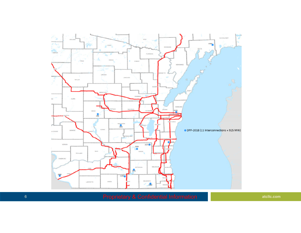

**Proprietary & Confidential Information atcllc.com**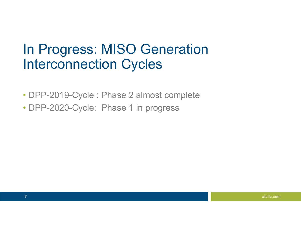### In Progress: MISO Generation Interconnection Cycles

- DPP-2019-Cycle : Phase 2 almost complete
- DPP-2020-Cycle: Phase 1 in progress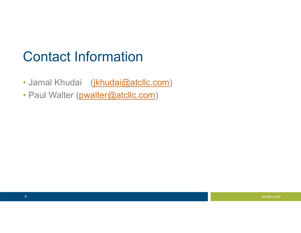## Contact Information

- Jamal Khudai (jkhudai@atcllc.com)
- Paul Walter (pwalter@atcllc.com)